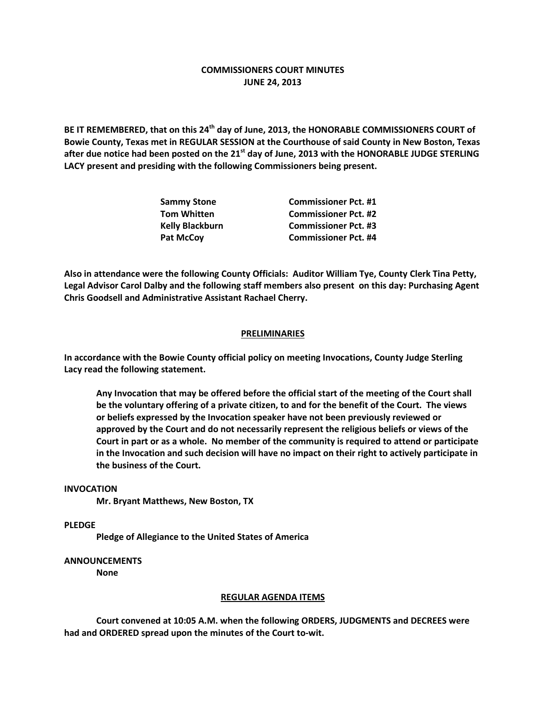# **COMMISSIONERS COURT MINUTES JUNE 24, 2013**

**BE IT REMEMBERED, that on this 24th day of June, 2013, the HONORABLE COMMISSIONERS COURT of Bowie County, Texas met in REGULAR SESSION at the Courthouse of said County in New Boston, Texas after due notice had been posted on the 21st day of June, 2013 with the HONORABLE JUDGE STERLING LACY present and presiding with the following Commissioners being present.**

| <b>Sammy Stone</b>     | <b>Commissioner Pct. #1</b> |
|------------------------|-----------------------------|
| <b>Tom Whitten</b>     | <b>Commissioner Pct. #2</b> |
| <b>Kelly Blackburn</b> | <b>Commissioner Pct. #3</b> |
| <b>Pat McCoy</b>       | <b>Commissioner Pct. #4</b> |

**Also in attendance were the following County Officials: Auditor William Tye, County Clerk Tina Petty, Legal Advisor Carol Dalby and the following staff members also present on this day: Purchasing Agent Chris Goodsell and Administrative Assistant Rachael Cherry.**

## **PRELIMINARIES**

**In accordance with the Bowie County official policy on meeting Invocations, County Judge Sterling Lacy read the following statement.**

**Any Invocation that may be offered before the official start of the meeting of the Court shall be the voluntary offering of a private citizen, to and for the benefit of the Court. The views or beliefs expressed by the Invocation speaker have not been previously reviewed or approved by the Court and do not necessarily represent the religious beliefs or views of the Court in part or as a whole. No member of the community is required to attend or participate in the Invocation and such decision will have no impact on their right to actively participate in the business of the Court.**

### **INVOCATION**

**Mr. Bryant Matthews, New Boston, TX**

**PLEDGE**

**Pledge of Allegiance to the United States of America**

#### **ANNOUNCEMENTS**

**None**

### **REGULAR AGENDA ITEMS**

**Court convened at 10:05 A.M. when the following ORDERS, JUDGMENTS and DECREES were had and ORDERED spread upon the minutes of the Court to-wit.**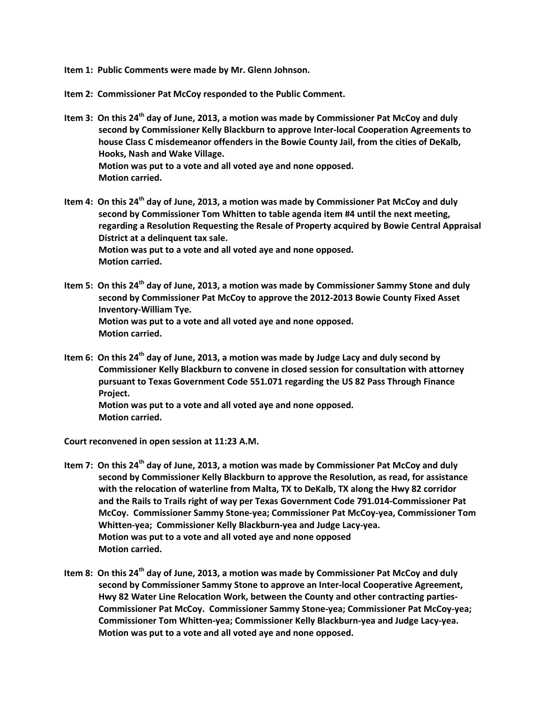**Item 1: Public Comments were made by Mr. Glenn Johnson.**

**Item 2: Commissioner Pat McCoy responded to the Public Comment.**

- **Item 3: On this 24th day of June, 2013, a motion was made by Commissioner Pat McCoy and duly second by Commissioner Kelly Blackburn to approve Inter-local Cooperation Agreements to house Class C misdemeanor offenders in the Bowie County Jail, from the cities of DeKalb, Hooks, Nash and Wake Village. Motion was put to a vote and all voted aye and none opposed. Motion carried.**
- **Item 4: On this 24th day of June, 2013, a motion was made by Commissioner Pat McCoy and duly second by Commissioner Tom Whitten to table agenda item #4 until the next meeting, regarding a Resolution Requesting the Resale of Property acquired by Bowie Central Appraisal District at a delinquent tax sale. Motion was put to a vote and all voted aye and none opposed. Motion carried.**
- **Item 5: On this 24th day of June, 2013, a motion was made by Commissioner Sammy Stone and duly second by Commissioner Pat McCoy to approve the 2012-2013 Bowie County Fixed Asset Inventory-William Tye. Motion was put to a vote and all voted aye and none opposed. Motion carried.**
- **Item 6: On this 24th day of June, 2013, a motion was made by Judge Lacy and duly second by Commissioner Kelly Blackburn to convene in closed session for consultation with attorney pursuant to Texas Government Code 551.071 regarding the US 82 Pass Through Finance Project. Motion was put to a vote and all voted aye and none opposed. Motion carried.**

**Court reconvened in open session at 11:23 A.M.**

- **Item 7: On this 24th day of June, 2013, a motion was made by Commissioner Pat McCoy and duly second by Commissioner Kelly Blackburn to approve the Resolution, as read, for assistance with the relocation of waterline from Malta, TX to DeKalb, TX along the Hwy 82 corridor and the Rails to Trails right of way per Texas Government Code 791.014-Commissioner Pat McCoy. Commissioner Sammy Stone-yea; Commissioner Pat McCoy-yea, Commissioner Tom Whitten-yea; Commissioner Kelly Blackburn-yea and Judge Lacy-yea. Motion was put to a vote and all voted aye and none opposed Motion carried.**
- **Item 8: On this 24th day of June, 2013, a motion was made by Commissioner Pat McCoy and duly second by Commissioner Sammy Stone to approve an Inter-local Cooperative Agreement, Hwy 82 Water Line Relocation Work, between the County and other contracting parties-Commissioner Pat McCoy. Commissioner Sammy Stone-yea; Commissioner Pat McCoy-yea; Commissioner Tom Whitten-yea; Commissioner Kelly Blackburn-yea and Judge Lacy-yea. Motion was put to a vote and all voted aye and none opposed.**